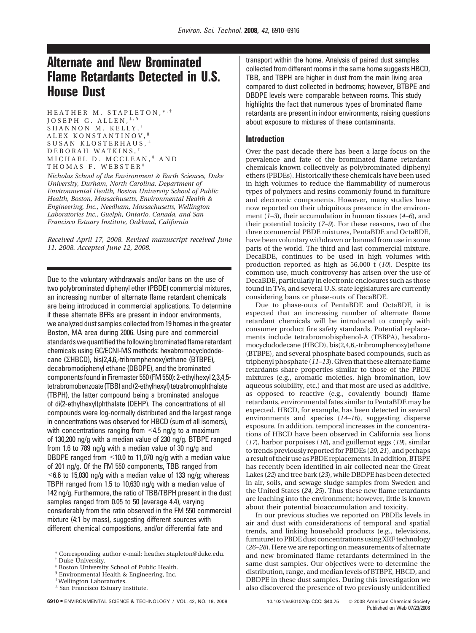# **Alternate and New Brominated Flame Retardants Detected in U.S. House Dust**

HEATHER M. STAPLETON, \*\*\* JOSEPH G. ALLEN, ‡,§ SHANNON M. KELLY, † ALEX KONSTANTINOV," SUSAN KLOSTERHAUS, ⊥ DEBORAH WATKINS, ‡ MICHAEL D. MCCLEAN, ‡ AND THOMAS F. WEBSTER ‡

*Nicholas School of the Environment & Earth Sciences, Duke University, Durham, North Carolina, Department of Environmental Health, Boston University School of Public Health, Boston, Massachusetts, Environmental Health & Engineering, Inc., Needham, Massachusetts, Wellington Laboratories Inc., Guelph, Ontario, Canada, and San Francisco Estuary Institute, Oakland, California*

*Received April 17, 2008. Revised manuscript received June 11, 2008. Accepted June 12, 2008.*

Due to the voluntary withdrawals and/or bans on the use of two polybrominated diphenyl ether (PBDE) commercial mixtures, an increasing number of alternate flame retardant chemicals are being introduced in commercial applications. To determine if these alternate BFRs are present in indoor environments, we analyzed dust samples collected from 19 homes in the greater Boston, MA area during 2006. Using pure and commercial standards we quantified the following brominated flame retardant chemicals using GC/ECNI-MS methods: hexabromocyclododecane (ΣHBCD), bis(2,4,6,-tribromphenoxy)ethane (BTBPE), decabromodiphenyl ethane (DBDPE), and the brominated componentsfound in Firemaster 550(FM 550): 2-ethylhexyl 2,3,4,5 tetrabromobenzoate (TBB) and (2-ethylhexyl) tetrabromophthalate (TBPH), the latter compound being a brominated analogue of di(2-ethylhexyl)phthalate (DEHP). The concentrations of all compounds were log-normally distributed and the largest range in concentrations was observed for HBCD (sum of all isomers), with concentrations ranging from  $\leq$  4.5 ng/g to a maximum of 130,200 ng/g with a median value of 230 ng/g. BTBPE ranged from 1.6 to 789 ng/g with a median value of 30 ng/g and DBDPE ranged from <10.0 to 11,070 ng/g with a median value of 201 ng/g. Of the FM 550 components, TBB ranged from  $\leq$  6.6 to 15,030 ng/g with a median value of 133 ng/g; whereas TBPH ranged from 1.5 to 10,630 ng/g with a median value of 142 ng/g. Furthermore, the ratio of TBB/TBPH present in the dust samples ranged from 0.05 to 50 (average 4.4), varying considerably from the ratio observed in the FM 550 commercial mixture (4:1 by mass), suggesting different sources with different chemical compositions, and/or differential fate and

transport within the home. Analysis of paired dust samples collected from different rooms in the same home suggests HBCD, TBB, and TBPH are higher in dust from the main living area compared to dust collected in bedrooms; however, BTBPE and DBDPE levels were comparable between rooms. This study highlights the fact that numerous types of brominated flame retardants are present in indoor environments, raising questions about exposure to mixtures of these contaminants.

#### **Introduction**

Over the past decade there has been a large focus on the prevalence and fate of the brominated flame retardant chemicals known collectively as polybrominated diphenyl ethers (PBDEs). Historically these chemicals have been used in high volumes to reduce the flammability of numerous types of polymers and resins commonly found in furniture and electronic components. However, many studies have now reported on their ubiquitous presence in the environment (*1–3*), their accumulation in human tissues (*4–6*), and their potential toxicity (*7–9*). For these reasons, two of the three commercial PBDE mixtures, PentaBDE and OctaBDE, have been voluntary withdrawn or banned from use in some parts of the world. The third and last commercial mixture, DecaBDE, continues to be used in high volumes with production reported as high as  $56,000 \text{ t}$  (10). Despite its common use, much controversy has arisen over the use of DecaBDE, particularly in electronic enclosures such as those found in TVs, and several U.S. state legislatures are currently considering bans or phase-outs of DecaBDE.

Due to phase-outs of PentaBDE and OctaBDE, it is expected that an increasing number of alternate flame retardant chemicals will be introduced to comply with consumer product fire safety standards. Potential replacements include tetrabromobisphenol-A (TBBPA), hexabromocyclododecane (HBCD), bis(2,4,6,-tribromphenoxy)ethane (BTBPE), and several phosphate based compounds, such as triphenyl phosphate (*11–13*). Given that these alternate flame retardants share properties similar to those of the PBDE mixtures (e.g., aromatic moieties, high bromination, low aqueous solubility, etc.) and that most are used as additive, as opposed to reactive (e.g., covalently bound) flame retardants, environmental fates similar to PentaBDE may be expected. HBCD, for example, has been detected in several environments and species (*14–16*), suggesting disperse exposure. In addition, temporal increases in the concentrations of HBCD have been observed in California sea lions (*17*), harbor porpoises (*18*), and guillemot eggs (*19*), similar to trends previously reported for PBDEs (*20, 21*), and perhaps a result of their use as PBDE replacements. In addition, BTBPE has recently been identified in air collected near the Great Lakes (*22*) and tree bark (*23*), while DBDPE has been detected in air, soils, and sewage sludge samples from Sweden and the United States (*24, 25*). Thus these new flame retardants are leaching into the environment; however, little is known about their potential bioaccumulation and toxicity.

In our previous studies we reported on PBDEs levels in air and dust with considerations of temporal and spatial trends, and linking household products (e.g., televisions, furniture) to PBDE dust concentrations using XRF technology (*26–28*). Here we are reporting on measurements of alternate and new brominated flame retardants determined in the same dust samples. Our objectives were to determine the distribution, range, and median levels of BTBPE, HBCD, and DBDPE in these dust samples. During this investigation we also discovered the presence of two previously unidentified

Corresponding author e-mail: heather.stapleton@duke.edu.

Duke University.

Boston University School of Public Health.

<sup>§</sup> Environmental Health & Engineering, Inc.

<sup>|</sup> Wellington Laboratories.

<sup>⊥</sup> San Francisco Estuary Institute.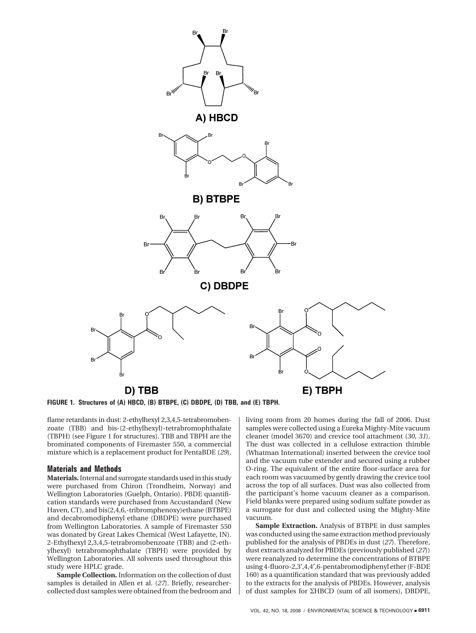

**FIGURE 1. Structures of (A) HBCD, (B) BTBPE, (C) DBDPE, (D) TBB, and (E) TBPH.**

flame retardants in dust: 2-ethylhexyl 2,3,4,5-tetrabromobenzoate (TBB) and bis-(2-ethylhexyl)-tetrabromophthalate (TBPH) (see Figure 1 for structures). TBB and TBPH are the brominated components of Firemaster 550, a commercial mixture which is a replacement product for PentaBDE (*29*).

## **Materials and Methods**

**Materials.**Internal and surrogate standards used in this study were purchased from Chiron (Trondheim, Norway) and Wellington Laboratories (Guelph, Ontario). PBDE quantification standards were purchased from Accustandard (New Haven, CT), and bis(2,4,6,-tribromphenoxy)ethane (BTBPE) and decabromodiphenyl ethane (DBDPE) were purchased from Wellington Laboratories. A sample of Firemaster 550 was donated by Great Lakes Chemical (West Lafayette, IN). 2-Ethylhexyl 2,3,4,5-tetrabromobenzoate (TBB) and (2-ethylhexyl) tetrabromophthalate (TBPH) were provided by Wellington Laboratories. All solvents used throughout this study were HPLC grade.

**Sample Collection.** Information on the collection of dust samples is detailed in Allen et al. (*27*). Briefly, researchercollected dust samples were obtained from the bedroom and living room from 20 homes during the fall of 2006. Dust samples were collected using a Eureka Mighty-Mite vacuum cleaner (model 3670) and crevice tool attachment (*30, 31*). The dust was collected in a cellulose extraction thimble (Whatman International) inserted between the crevice tool and the vacuum tube extender and secured using a rubber O-ring. The equivalent of the entire floor-surface area for each room was vacuumed by gently drawing the crevice tool across the top of all surfaces. Dust was also collected from the participant's home vacuum cleaner as a comparison. Field blanks were prepared using sodium sulfate powder as a surrogate for dust and collected using the Mighty-Mite vacuum.

**Sample Extraction.** Analysis of BTBPE in dust samples was conducted using the same extraction method previously published for the analysis of PBDEs in dust (*27*). Therefore, dust extracts analyzed for PBDEs (previously published (*27*)) were reanalyzed to determine the concentrations of BTBPE using 4-fluoro-2,3′,4,4′,6-pentabromodiphenyl ether (F-BDE 160) as a quantification standard that was previously added to the extracts for the analysis of PBDEs. However, analysis of dust samples for ΣHBCD (sum of all isomers), DBDPE,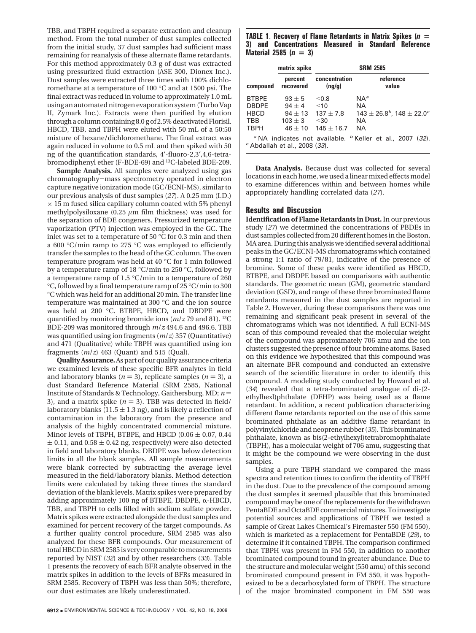TBB, and TBPH required a separate extraction and cleanup method. From the total number of dust samples collected from the initial study, 37 dust samples had sufficient mass remaining for reanalysis of these alternate flame retardants. For this method approximately 0.3 g of dust was extracted using pressurized fluid extraction (ASE 300, Dionex Inc.). Dust samples were extracted three times with 100% dichloromethane at a temperature of 100 °C and at 1500 psi. The final extract was reduced in volume to approximately 1.0 mL using an automated nitrogen evaporation system (Turbo Vap II, Zymark Inc.). Extracts were then purified by elution through a column containing 8.0 g of 2.5% deactivated Florisil. HBCD, TBB, and TBPH were eluted with 50 mL of a 50:50 mixture of hexane/dichloromethane. The final extract was again reduced in volume to 0.5 mL and then spiked with 50 ng of the quantification standards, 4′-fluoro-2,3′,4,6-tetrabromodiphenyl ether (F-BDE-69) and 13C-labeled BDE-209.

**Sample Analysis.** All samples were analyzed using gas chromatography-mass spectrometry operated in electron capture negative ionization mode (GC/ECNI-MS), similar to our previous analysis of dust samples (*27*). A 0.25 mm (I.D.)  $\times$  15 m fused silica capillary column coated with 5% phenyl methylpolysiloxane (0.25  $\mu$ m film thickness) was used for the separation of BDE congeners. Pressurized temperature vaporization (PTV) injection was employed in the GC. The inlet was set to a temperature of 50 °C for 0.3 min and then a 600 °C/min ramp to 275 °C was employed to efficiently transfer the samples to the head of the GC column. The oven temperature program was held at 40 °C for 1 min followed by a temperature ramp of 18 °C/min to 250 °C, followed by a temperature ramp of 1.5 °C/min to a temperature of 260 °C, followed by a final temperature ramp of 25 °C/min to 300 °C which was held for an additional 20 min. The transfer line temperature was maintained at 300 °C and the ion source was held at 200 °C. BTBPE, HBCD, and DBDPE were quantified by monitoring bromide ions (*m*/*z* 79 and 81). 13C BDE-209 was monitored through *m*/*z* 494.6 and 496.6. TBB was quantified using ion fragments (*m*/*z*) 357 (Quantitative) and 471 (Qualitative) while TBPH was quantified using ion fragments (*m*/*z*) 463 (Quant) and 515 (Qual).

**Quality Assurance.**As part of our quality assurance criteria we examined levels of these specific BFR analytes in field and laboratory blanks ( $n = 3$ ), replicate samples ( $n = 3$ ), a dust Standard Reference Material (SRM 2585, National Institute of Standards & Technology, Gaithersburg, MD; *<sup>n</sup>* ) 3), and a matrix spike ( $n = 3$ ). TBB was detected in field/ laboratory blanks ( $11.5 \pm 1.3$  ng), and is likely a reflection of contamination in the laboratory from the presence and analysis of the highly concentrated commercial mixture. Minor levels of TBPH, BTBPE, and HBCD ( $0.06 \pm 0.07$ ,  $0.44$ )  $\pm$  0.11, and 0.58  $\pm$  0.42 ng, respectively) were also detected in field and laboratory blanks. DBDPE was below detection limits in all the blank samples. All sample measurements were blank corrected by subtracting the average level measured in the field/laboratory blanks. Method detection limits were calculated by taking three times the standard deviation of the blank levels. Matrix spikes were prepared by adding approximately 100 ng of BTBPE, DBDPE,  $\alpha$ -HBCD, TBB, and TBPH to cells filled with sodium sulfate powder. Matrix spikes were extracted alongside the dust samples and examined for percent recovery of the target compounds. As a further quality control procedure, SRM 2585 was also analyzed for these BFR compounds. Our measurement of total HBCD in SRM 2585 is very comparable to measurements reported by NIST (*32*) and by other researchers (*33*). Table 1 presents the recovery of each BFR analyte observed in the matrix spikes in addition to the levels of BFRs measured in SRM 2585. Recovery of TBPH was less than 50%; therefore, our dust estimates are likely underestimated.

# **TABLE 1**. **Recovery of Flame Retardants in Matrix Spikes (***n* **= 3) and Concentrations Measured in Standard Reference Material 2585 (***n* **= 3)**

|                                                                          | matrix spike                                                                                   | <b>SRM 2585</b>                                       |                                                                                                                                                                   |  |  |  |  |
|--------------------------------------------------------------------------|------------------------------------------------------------------------------------------------|-------------------------------------------------------|-------------------------------------------------------------------------------------------------------------------------------------------------------------------|--|--|--|--|
| compound                                                                 | percent<br>recovered                                                                           | concentration<br>(nq/q)                               | reference<br>value                                                                                                                                                |  |  |  |  |
| <b>BTBPE</b><br><b>DBDPE</b><br><b>HBCD</b><br><b>TBB</b><br><b>TBPH</b> | $93 + 5$<br>$94 + 4$<br>$94 + 13$<br>$103 + 3$<br>$46 + 10$<br>$c$ Abdallah et al., 2008 (33). | < 0.8<br>~10<br>$137 \pm 7.8$<br>< 30<br>$145 + 16.7$ | $NA^a$<br><b>NA</b><br>$143 \pm 26.8^b$ , 148 $\pm 22.0^c$<br>NA.<br><b>NA</b><br><sup>a</sup> NA indicates not available. <sup>b</sup> Keller et al., 2007 (32). |  |  |  |  |

**Data Analysis.** Because dust was collected for several locations in each home, we used a linear mixed effects model to examine differences within and between homes while appropriately handling correlated data (*27*).

## **Results and Discussion**

**Identification of Flame Retardants in Dust.** In our previous study (*27*) we determined the concentrations of PBDEs in dust samples collected from 20 different homes in the Boston, MA area. During this analysis we identified several additional peaks in the GC/ECNI-MS chromatograms which contained a strong 1:1 ratio of 79/81, indicative of the presence of bromine. Some of these peaks were identified as HBCD, BTBPE, and DBDPE based on comparisons with authentic standards. The geometric mean (GM), geometric standard deviation (GSD), and range of these three brominated flame retardants measured in the dust samples are reported in Table 2. However, during these comparisons there was one remaining and significant peak present in several of the chromatograms which was not identified. A full ECNI-MS scan of this compound revealed that the molecular weight of the compound was approximately 706 amu and the ion clusters suggested the presence of four bromine atoms. Based on this evidence we hypothesized that this compound was an alternate BFR compound and conducted an extensive search of the scientific literature in order to identify this compound. A modeling study conducted by Howard et al. (*34*) revealed that a tetra-brominated analogue of di-(2 ethylhexl)phthalate (DEHP) was being used as a flame retardant. In addition, a recent publication characterizing different flame retardants reported on the use of this same brominated phthalate as an additive flame retardant in polyvinylchloride and neoprene rubber (*35*). This brominated phthalate, known as bis(2-ethylhexyl)tetrabromophthalate (TBPH), has a molecular weight of 706 amu, suggesting that it might be the compound we were observing in the dust samples.

Using a pure TBPH standard we compared the mass spectra and retention times to confirm the identity of TBPH in the dust. Due to the prevalence of the compound among the dust samples it seemed plausible that this brominated compound may be one of the replacements for the withdrawn PentaBDE and OctaBDE commercial mixtures. To investigate potential sources and applications of TBPH we tested a sample of Great Lakes Chemical's Firemaster 550 (FM 550), which is marketed as a replacement for PentaBDE (*29*), to determine if it contained TBPH. The comparison confirmed that TBPH was present in FM 550, in addition to another brominated compound found in greater abundance. Due to the structure and molecular weight (550 amu) of this second brominated compound present in FM 550, it was hypothesized to be a decarboxylated form of TBPH. The structure of the major brominated component in FM 550 was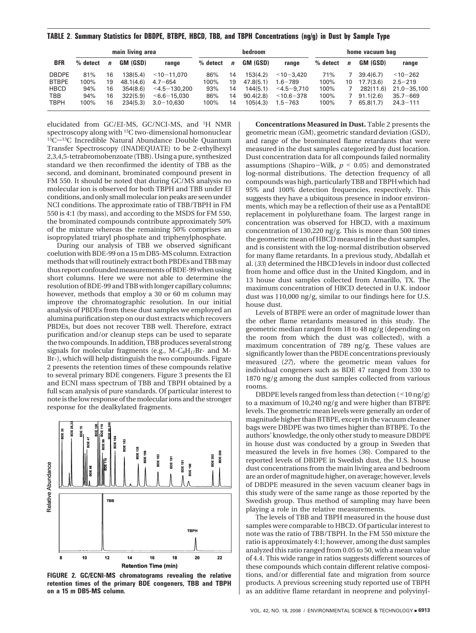|              |          | main living area |           | <b>bedroom</b>  |          |             | home vacuum bag |                   |          |             |           |                 |
|--------------|----------|------------------|-----------|-----------------|----------|-------------|-----------------|-------------------|----------|-------------|-----------|-----------------|
| <b>BFR</b>   | % detect | $\mathbf{n}$     | GM (GSD)  | range           | % detect | $\mathbf n$ | GM (GSD)        | range             | % detect | $\mathbf n$ | GM (GSD)  | range           |
| <b>DBDPE</b> | 81%      | 16               | 138(5.4)  | $<$ 10-11.070   | 86%      | 14          | 153(4.2)        | $<$ 10-3.420      | 71%      |             | 39.4(6.7) | $< 10 - 262$    |
| <b>BTBPE</b> | 100%     | 19               | 48.1(4.6) | $4.7 - 654$     | 100%     | 19          | 47.8(5.1)       | $1.6 - 789$       | 100%     | 10          | 17.7(3.6) | $2.5 - 219$     |
| <b>HBCD</b>  | 94%      | 16               | 354(8.6)  | $<$ 4.5-130.200 | 93%      | 14          | 144(5.1)        | $<$ 4.5 $-$ 9.710 | 100%     |             | 282(11.6) | $21.0 - 35,100$ |
| <b>TBB</b>   | 94%      | 16               | 322(5.9)  | $<6.6 - 15.030$ | 86%      | 14          | 90.4(2.8)       | $~10.6 - 378$     | 100%     |             | 91.1(2.6) | $35.7 - 669$    |
| <b>TBPH</b>  | 100%     | 16               | 234(5.3)  | $3.0 - 10.630$  | 100%     | 14          | 105(4.3)        | $1.5 - 763$       | 100%     |             | 65.8(1.7) | $24.3 - 111$    |

**TABLE 2**. **Summary Statistics for DBDPE, BTBPE, HBCD, TBB, and TBPH Concentrations (ng/g) in Dust by Sample Type**

elucidated from GC/EI-MS, GC/NCI-MS, and 1H NMR spectroscopy along with <sup>13</sup>C two-dimensional homonuclear  $13C$ <sup>13</sup>C $-13C$  Incredible Natural Abundance Double Quantum Transfer Spectroscopy (INADEQUATE) to be 2-ethylhexyl 2,3,4,5-tetrabromobenzoate (TBB). Using a pure, synthesized standard we then reconfirmed the identity of TBB as the second, and dominant, brominated compound present in FM 550. It should be noted that during GC/MS analysis no molecular ion is observed for both TBPH and TBB under EI conditions, and only small molecular ion peaks are seen under NCI conditions. The approximate ratio of TBB/TBPH in FM 550 is 4:1 (by mass), and according to the MSDS for FM 550, the brominated compounds contribute approximately 50% of the mixture whereas the remaining 50% comprises an isopropylated triaryl phosphate and triphenylphosphate.

During our analysis of TBB we observed significant coelution with BDE-99 on a 15 m DB5-MS column. Extraction methods that will routinely extract both PBDEs and TBB may thus report confounded measurements of BDE-99 when using short columns. Here we were not able to determine the resolution of BDE-99 and TBB with longer capillary columns; however, methods that employ a 30 or 60 m column may improve the chromatographic resolution. In our initial analysis of PBDEs from these dust samples we employed an alumina purification step on our dust extracts which recovers PBDEs, but does not recover TBB well. Therefore, extract purification and/or cleanup steps can be used to separate the two compounds. In addition, TBB produces several strong signals for molecular fragments (e.g.,  $M-C_8H_{17}Br-$  and  $M-$ Br-), which will help distinguish the two compounds. Figure 2 presents the retention times of these compounds relative to several primary BDE congeners. Figure 3 presents the EI and ECNI mass spectrum of TBB and TBPH obtained by a full scan analysis of pure standards. Of particular interest to note is the low response of the molecular ions and the stronger response for the dealkylated fragments.



**FIGURE 2. GC/ECNI-MS chromatograms revealing the relative retention times of the primary BDE congeners, TBB and TBPH on a 15 m DB5-MS column.**

**Concentrations Measured in Dust.** Table 2 presents the geometric mean (GM), geometric standard deviation (GSD), and range of the brominated flame retardants that were measured in the dust samples categorized by dust location. Dust concentration data for all compounds failed normality assumptions (Shapiro-Wilk, *<sup>p</sup>* < 0.05) and demonstrated log-normal distributions. The detection frequency of all compounds was high, particularly TBB and TBPH which had 95% and 100% detection frequencies, respectively. This suggests they have a ubiquitous presence in indoor environments, which may be a reflection of their use as a PentaBDE replacement in polylurethane foam. The largest range in concentration was observed for HBCD, with a maximum concentration of 130,220 ng/g. This is more than 500 times the geometric mean of HBCD measured in the dust samples, and is consistent with the log-normal distribution observed for many flame retardants. In a previous study, Abdallah et al. (*33*) determined the HBCD levels in indoor dust collected from home and office dust in the United Kingdom, and in 13 house dust samples collected from Amarillo, TX. The maximum concentration of HBCD detected in U.K. indoor dust was 110,000 ng/g, similar to our findings here for U.S. house dust.

Levels of BTBPE were an order of magnitude lower than the other flame retardants measured in this study. The geometric median ranged from 18 to 48 ng/g (depending on the room from which the dust was collected), with a maximum concentration of 789 ng/g. These values are significantly lower than the PBDE concentrations previously measured (*27*), where the geometric mean values for individual congeners such as BDE 47 ranged from 330 to 1870 ng/g among the dust samples collected from various rooms.

DBDPE levels ranged from less than detection  $($  < 10 ng/g) to a maximum of 10,240 ng/g and were higher than BTBPE levels. The geometric mean levels were generally an order of magnitude higher than BTBPE, except in the vacuum cleaner bags were DBDPE was two times higher than BTBPE. To the authors' knowledge, the only other study to measure DBDPE in house dust was conducted by a group in Sweden that measured the levels in five homes (*36*). Compared to the reported levels of DBDPE in Swedish dust, the U.S. house dust concentrations from the main living area and bedroom are an order of magnitude higher, on average; however, levels of DBDPE measured in the seven vacuum cleaner bags in this study were of the same range as those reported by the Swedish group. Thus method of sampling may have been playing a role in the relative measurements.

The levels of TBB and TBPH measured in the house dust samples were comparable to HBCD. Of particular interest to note was the ratio of TBB/TBPH. In the FM 550 mixture the ratio is approximately 4:1; however, among the dust samples analyzed this ratio ranged from 0.05 to 50, with a mean value of 4.4. This wide range in ratios suggests different sources of these compounds which contain different relative compositions, and/or differential fate and migration from source products. A previous screening study reported use of TBPH as an additive flame retardant in neoprene and polyvinyl-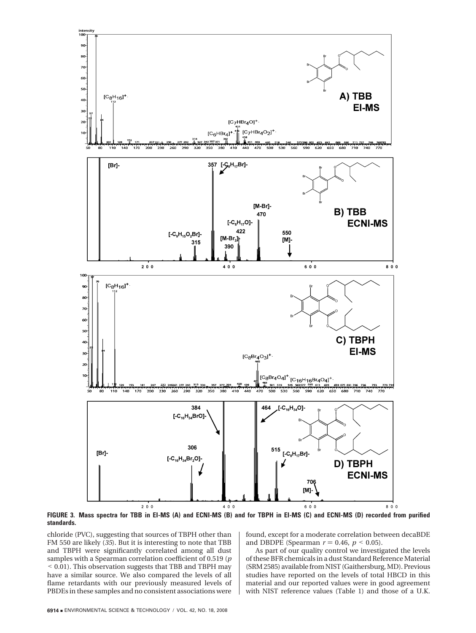

**FIGURE 3. Mass spectra for TBB in EI-MS (A) and ECNI-MS (B) and for TBPH in EI-MS (C) and ECNI-MS (D) recorded from purified standards.**

chloride (PVC), suggesting that sources of TBPH other than FM 550 are likely (*35*). But it is interesting to note that TBB and TBPH were significantly correlated among all dust samples with a Spearman correlation coefficient of 0.519 (*p* < 0.01). This observation suggests that TBB and TBPH may have a similar source. We also compared the levels of all flame retardants with our previously measured levels of PBDEs in these samples and no consistent associations were

found, except for a moderate correlation between decaBDE and DBDPE (Spearman  $r = 0.46$ ,  $p < 0.05$ ).

As part of our quality control we investigated the levels of these BFR chemicals in a dust Standard Reference Material (SRM 2585) available from NIST (Gaithersburg, MD). Previous studies have reported on the levels of total HBCD in this material and our reported values were in good agreement with NIST reference values (Table 1) and those of a U.K.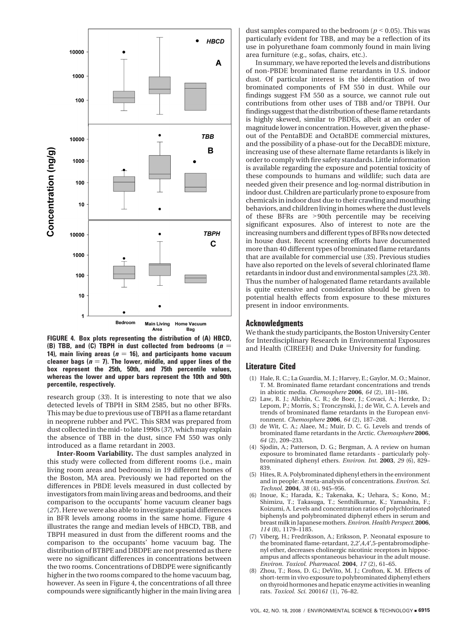

**FIGURE 4. Box plots representing the distribution of (A) HBCD, (B) TBB, and (C) TBPH in dust collected from bedrooms**  $(n = 1$ **14), main living areas (** $n = 16$ **), and participants home vacuum** cleaner bags  $(n = 7)$ . The lower, middle, and upper lines of the **box represent the 25th, 50th, and 75th percentile values, whereas the lower and upper bars represent the 10th and 90th percentile, respectively.**

research group (*33*). It is interesting to note that we also detected levels of TBPH in SRM 2585, but no other BFRs. This may be due to previous use of TBPH as a flame retardant in neoprene rubber and PVC. This SRM was prepared from dust collected in the mid- to late 1990s (*37*), which may explain the absence of TBB in the dust, since FM 550 was only introduced as a flame retardant in 2003.

**Inter-Room Variability.** The dust samples analyzed in this study were collected from different rooms (i.e., main living room areas and bedrooms) in 19 different homes of the Boston, MA area. Previously we had reported on the differences in PBDE levels measured in dust collected by investigators from main living areas and bedrooms, and their comparison to the occupants' home vacuum cleaner bags (*27*). Here we were also able to investigate spatial differences in BFR levels among rooms in the same home. Figure 4 illustrates the range and median levels of HBCD, TBB, and TBPH measured in dust from the different rooms and the comparison to the occupants' home vacuum bag. The distribution of BTBPE and DBDPE are not presented as there were no significant differences in concentrations between the two rooms. Concentrations of DBDPE were significantly higher in the two rooms compared to the home vacuum bag, however. As seen in Figure 4, the concentrations of all three compounds were significantly higher in the main living area dust samples compared to the bedroom ( $p < 0.05$ ). This was particularly evident for TBB, and may be a reflection of its use in polyurethane foam commonly found in main living area furniture (e.g., sofas, chairs, etc.).

In summary, we have reported the levels and distributions of non-PBDE brominated flame retardants in U.S. indoor dust. Of particular interest is the identification of two brominated components of FM 550 in dust. While our findings suggest FM 550 as a source, we cannot rule out contributions from other uses of TBB and/or TBPH. Our findings suggest that the distribution of these flame retardants is highly skewed, similar to PBDEs, albeit at an order of magnitude lower in concentration. However, given the phaseout of the PentaBDE and OctaBDE commercial mixtures, and the possibility of a phase-out for the DecaBDE mixture, increasing use of these alternate flame retardants is likely in order to comply with fire safety standards. Little information is available regarding the exposure and potential toxicity of these compounds to humans and wildlife; such data are needed given their presence and log-normal distribution in indoor dust. Children are particularly prone to exposure from chemicals in indoor dust due to their crawling and mouthing behaviors, and children living in homes where the dust levels of these BFRs are >90th percentile may be receiving significant exposures. Also of interest to note are the increasing numbers and different types of BFRs now detected in house dust. Recent screening efforts have documented more than 40 different types of brominated flame retardants that are available for commercial use (*35*). Previous studies have also reported on the levels of several chlorinated flame retardants in indoor dust and environmental samples (*23, 38*). Thus the number of halogenated flame retardants available is quite extensive and consideration should be given to potential health effects from exposure to these mixtures present in indoor environments.

## **Acknowledgments**

We thank the study participants, the Boston University Center for Interdisciplinary Research in Environmental Exposures and Health (CIREEH) and Duke University for funding.

#### **Literature Cited**

- (1) Hale, R. C.; La Guardia, M. J.; Harvey, E.; Gaylor, M. O.; Mainor, T. M. Brominated flame retardant concentrations and trends in abiotic media. *Chemosphere* **2006**, *64* (2), 181–186.
- (2) Law, R. J.; Allchin, C. R.; de Boer, J.; Covaci, A.; Herzke, D.; Lepom, P.; Morris, S.; Tronczynski, J.; de Wit, C. A. Levels and trends of brominated flame retardants in the European environment. *Chemosphere* **2006**, *64* (2), 187–208.
- de Wit, C. A.; Alaee, M.; Muir, D. C. G. Levels and trends of brominated flame retardants in the Arctic. *Chemosphere* **2006**, *64* (2), 209–233.
- Sjodin, A.; Patterson, D. G.; Bergman, A. A review on human exposure to brominated flame retardants - particularly polybrominated diphenyl ethers. *Environ. Int.* **2003**, *29* (6), 829– 839.
- (5) Hites, R. A. Polybrominated diphenyl ethers in the environment and in people: A meta-analysis of concentrations. *Environ. Sci. Technol.* **2004**, *38* (4), 945–956.
- (6) Inoue, K.; Harada, K.; Takenaka, K.; Uehara, S.; Kono, M.; Shimizu, T.; Takasuga, T.; Senthilkumar, K.; Yamashita, F.; Koizumi, A. Levels and concentration ratios of polychlorinated biphenyls and polybrominated diphenyl ethers in serum and breast milk in Japanese mothers. *Environ. Health Perspect.* **2006**, *114* (8), 1179–1185.
- (7) Viberg, H.; Fredriksson, A.; Eriksson, P. Neonatal exposure to the brominated flame-retardant, 2,2′,4,4′,5-pentabromodiphenyl ether, decreases cholinergic nicotinic receptors in hippocampus and affects spontaneous behaviour in the adult mouse. *Environ. Toxicol. Pharmacol.* **2004**, *17* (2), 61–65.
- Zhou, T.; Ross, D. G.; DeVito, M. J.; Crofton, K. M. Effects of short-term in vivo exposure to polybrominated diphenyl ethers on thyroid hormones and hepatic enzyme activities in weanling rats. *Toxicol. Sci.* 2001*61* (1), 76–82.